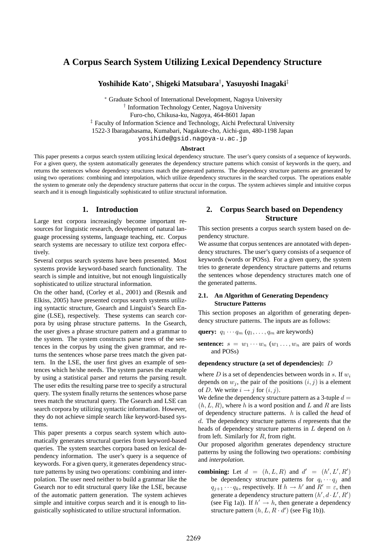# **A Corpus Search System Utilizing Lexical Dependency Structure**

**Yoshihide Kato***<sup>∗</sup>* **, Shigeki Matsubara***†* **, Yasuyoshi Inagaki***‡*

*<sup>∗</sup>* Graduate School of International Development, Nagoya University *†* Information Technology Center, Nagoya University Furo-cho, Chikusa-ku, Nagoya, 464-8601 Japan *‡* Faculty of Information Science and Technology, Aichi Prefectural University 1522-3 Ibaragabasama, Kumabari, Nagakute-cho, Aichi-gun, 480-1198 Japan

yosihide@gsid.nagoya-u.ac.jp

#### **Abstract**

This paper presents a corpus search system utilizing lexical dependency structure. The user's query consists of a sequence of keywords. For a given query, the system automatically generates the dependency structure patterns which consist of keywords in the query, and returns the sentences whose dependency structures match the generated patterns. The dependency structure patterns are generated by using two operations: combining and interpolation, which utilize dependency structures in the searched corpus. The operations enable the system to generate only the dependency structure patterns that occur in the corpus. The system achieves simple and intuitive corpus search and it is enough linguistically sophisticated to utilize structural information.

## **1. Introduction**

Large text corpora increasingly become important resources for linguistic research, development of natural language processing systems, language teaching, etc. Corpus search systems are necessary to utilize text corpora effectively.

Several corpus search systems have been presented. Most systems provide keyword-based search functionality. The search is simple and intuitive, but not enough linguistically sophisticated to utilize structural information.

On the other hand, (Corley et al., 2001) and (Resnik and Elkiss, 2005) have presented corpus search systems utilizing syntactic structure, Gsearch and Linguist's Search Engine (LSE), respectively. These systems can search corpora by using phrase structure patterns. In the Gsearch, the user gives a phrase structure pattern and a grammar to the system. The system constructs parse trees of the sentences in the corpus by using the given grammar, and returns the sentences whose parse trees match the given pattern. In the LSE, the user first gives an example of sentences which he/she needs. The system parses the example by using a statistical parser and returns the parsing result. The user edits the resulting parse tree to specify a structural query. The system finally returns the sentences whose parse trees match the structural query. The Gsearch and LSE can search corpora by utilizing syntactic information. However, they do not achieve simple search like keyword-based systems.

This paper presents a corpus search system which automatically generates structural queries from keyword-based queries. The system searches corpora based on lexical dependency information. The user's query is a sequence of keywords. For a given query, it generates dependency structure patterns by using two operations: combining and interpolation. The user need neither to build a grammar like the Gsearch nor to edit structural query like the LSE, because of the automatic pattern generation. The system achieves simple and intuitive corpus search and it is enough to linguistically sophisticated to utilize structural information.

## **2. Corpus Search based on Dependency Structure**

This section presents a corpus search system based on dependency structure.

We assume that corpus sentences are annotated with dependency structures. The user's query consists of a sequence of keywords (words or POSs). For a given query, the system tries to generate dependency structure patterns and returns the sentences whose dependency structures match one of the generated patterns.

### **2.1. An Algorithm of Generating Dependency Structure Patterns**

This section proposes an algorithm of generating dependency structure patterns. The inputs are as follows:

**query:**  $q_1 \cdots q_m (q_1, \ldots, q_m \text{ are keywords})$ 

**sentence:**  $s = w_1 \cdots w_n$  ( $w_1 \cdots w_n$  are pairs of words and POSs)

#### **dependency structure (a set of dependencies):** *D*

where *D* is a set of dependencies between words in *s*. If  $w_i$ depends on  $w_j$ , the pair of the positions  $(i, j)$  is a element of *D*. We write  $i \rightarrow j$  for  $(i, j)$ .

We define the dependency structure pattern as a 3-tuple  $d =$  $(h, L, R)$ , where *h* is a word position and *L* and *R* are lists of dependency structure patterns. *h* is called the *head* of *d*. The dependency structure patterns *d* represents that the heads of dependency structure patterns in *L* depend on *h* from left. Similarly for *R*, from right.

Our proposed algorithm generates dependency structure patterns by using the following two operations: *combining* and *interpolation*.

**combining:** Let  $d = (h, L, R)$  and  $d' = (h', L', R')$ be dependency structure patterns for  $q_i \cdots q_j$  and  $q_{j+1} \cdots q_k$ , respectively. If  $h \to h'$  and  $R' = \varepsilon$ , then generate a dependency structure pattern  $(h', d \cdot L', R')$ (see Fig 1a)). If  $h' \rightarrow h$ , then generate a dependency structure pattern  $(h, L, R \cdot d')$  (see Fig 1b)).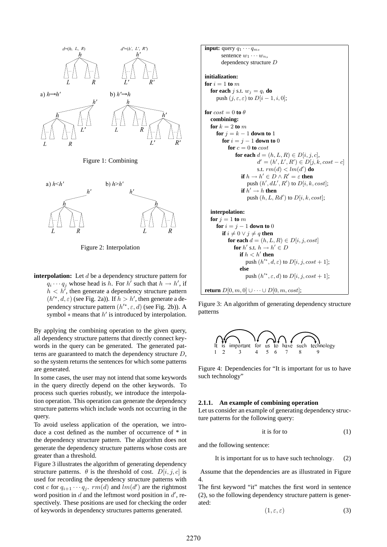



Figure 2: Interpolation

**interpolation:** Let *d* be a dependency structure pattern for  $q_i \cdots q_j$  whose head is *h*. For *h*<sup> $\prime$ </sup> such that  $h \rightarrow h'$ , if  $h < h'$ , then generate a dependency structure pattern  $(h^{\prime*}, d, \varepsilon)$  (see Fig. 2a)). If  $h > h'$ , then generate a dependency structure pattern  $(h'^*, \varepsilon, d)$  (see Fig. 2b)). A symbol  $*$  means that  $h'$  is introduced by interpolation.

By applying the combining operation to the given query, all dependency structure patterns that directly connect keywords in the query can be generated. The generated patterns are guaranteed to match the dependency structure *D*, so the system returns the sentences for which some patterns are generated.

In some cases, the user may not intend that some keywords in the query directly depend on the other keywords. To process such queries robustly, we introduce the interpolation operation. This operation can generate the dependency structure patterns which include words not occurring in the query.

To avoid useless application of the operation, we introduce a cost defined as the number of occurrence of \* in the dependency structure pattern. The algorithm does not generate the dependency structure patterns whose costs are greater than a threshold.

Figure 3 illustrates the algorithm of generating dependency structure patterns.  $\theta$  is the threshold of cost.  $D[i, j, c]$  is used for recording the dependency structure patterns with cost *c* for  $q_{i+1} \cdots q_j$ .  $rm(d)$  and  $lm(d')$  are the rightmost word position in  $d$  and the leftmost word position in  $d'$ , respectively. These positions are used for checking the order of keywords in dependency structures patterns generated.

**input:** query *q*<sup>1</sup> *· · · qm*, sentence *w*<sup>1</sup> *· · · wn*, dependency structure *D* **initialization: for** *i* = 1 **to** *m* **for each** *j* s.t. *w<sup>j</sup>* = *q<sup>i</sup>* **do** push (*j, ε, ε*) to *D*[*i −* 1*, i,* 0]; **for** *cost* = 0 **to** *θ* **combining: for** *k* = 2 **to** *m* **for** *j* = *k −* 1 **down to** 1 **for** *i* = *j −* 1 **down to** 0 **for** *c* = 0 **to** *cost* **for each** *d* = (*h, L, R*) *∈ D*[*i, j, c*], *d <sup>0</sup>* = (*h 0 , L<sup>0</sup> , R<sup>0</sup>* ) *∈ D*[*j, k, cost − c*] s.t. *rm*(*d*) *< lm*(*d 0* ) **do if** *h → h <sup>0</sup> ∈ D ∧ R <sup>0</sup>* = *ε* **then** push (*h 0 , dL<sup>0</sup> , R<sup>0</sup>* ) to *D*[*i, k, cost*]; **if** *h <sup>0</sup> → h* **then** push (*h, L, Rd<sup>0</sup>* ) to *D*[*i, k, cost*]; **interpolation: for** *j* = 1 **to** *m* **for** *i* = *j −* 1 **down to** 0 **if** *i 6*= 0 *∨ j 6*= *q* **then for each** *d* = (*h, L, R*) *∈ D*[*i, j, cost*] **for** *h 0* s.t. *h → h <sup>0</sup> ∈ D* **if** *h < h<sup>0</sup>* **then** push (*h 0∗, d, ε*) to *D*[*i, j, cost* + 1]; **else** push (*h 0∗, ε, d*) to *D*[*i, j, cost* + 1];

**return**  $D[0, m, 0]$  ∪ · · · ∪  $D[0, m, cost]$ ;

Figure 3: An algorithm of generating dependency structure patterns



Figure 4: Dependencies for "It is important for us to have such technology"

#### **2.1.1. An example of combining operation**

Let us consider an example of generating dependency structure patterns for the following query:

$$
it is for to \t(1)
$$

and the following sentence:

It is important for us to have such technology*.* (2)

Assume that the dependencies are as illustrated in Figure 4.

The first keyword "it" matches the first word in sentence (2), so the following dependency structure pattern is generated:

$$
(1, \varepsilon, \varepsilon) \tag{3}
$$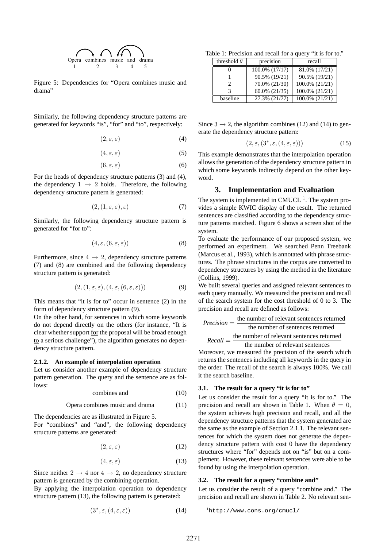

Figure 5: Dependencies for "Opera combines music and drama"

Similarly, the following dependency structure patterns are generated for keywords "is", "for" and "to", respectively:

$$
(2,\varepsilon,\varepsilon) \tag{4}
$$

$$
(4,\varepsilon,\varepsilon) \tag{5}
$$

$$
(6,\varepsilon,\varepsilon) \tag{6}
$$

For the heads of dependency structure patterns (3) and (4), the dependency  $1 \rightarrow 2$  holds. Therefore, the following dependency structure pattern is generated:

$$
(2, (1, \varepsilon, \varepsilon), \varepsilon) \tag{7}
$$

Similarly, the following dependency structure pattern is generated for "for to":

$$
(4, \varepsilon, (6, \varepsilon, \varepsilon)) \tag{8}
$$

Furthermore, since  $4 \rightarrow 2$ , dependency structure patterns (7) and (8) are combined and the following dependency structure pattern is generated:

$$
(2, (1, \varepsilon, \varepsilon), (4, \varepsilon, (6, \varepsilon, \varepsilon))) \tag{9}
$$

This means that "it is for to" occur in sentence (2) in the form of dependency structure pattern (9).

On the other hand, for sentences in which some keywords do not depend directly on the others (for instance, "It is clear whether support for the proposal will be broad enough to a serious challenge"), the algorithm generates no dependency structure pattern.

#### **2.1.2. An example of interpolation operation**

Let us consider another example of dependency structure pattern generation. The query and the sentence are as follows:

$$
combines and \t(10)
$$

Opera combines music and drama (11)

The dependencies are as illustrated in Figure 5.

For "combines" and "and", the following dependency structure patterns are generated:

$$
(2, \varepsilon, \varepsilon) \tag{12}
$$

$$
(4, \varepsilon, \varepsilon) \tag{13}
$$

Since neither  $2 \rightarrow 4$  nor  $4 \rightarrow 2$ , no dependency structure pattern is generated by the combining operation.

By applying the interpolation operation to dependency structure pattern (13), the following pattern is generated:

$$
(3^*, \varepsilon, (4, \varepsilon, \varepsilon)) \tag{14}
$$

Table 1: Precision and recall for a query "it is for to."

| threshold $\theta$          | precision          | recall         |
|-----------------------------|--------------------|----------------|
|                             | 100.0% (17/17)     | 81.0% (17/21)  |
|                             | 90.5% (19/21)      | 90.5% (19/21)  |
| $\mathcal{D}_{\mathcal{A}}$ | 70.0% (21/30)      | 100.0% (21/21) |
| 3                           | $60.0\%$ $(21/35)$ | 100.0% (21/21) |
| baseline                    | 27.3% (21/77)      | 100.0% (21/21) |

Since  $3 \rightarrow 2$ , the algorithm combines (12) and (14) to generate the dependency structure pattern:

$$
(2, \varepsilon, (3^*, \varepsilon, (4, \varepsilon, \varepsilon))) \tag{15}
$$

This example demonstrates that the interpolation operation allows the generation of the dependency structure pattern in which some keywords indirectly depend on the other keyword.

#### **3. Implementation and Evaluation**

The system is implemented in CMUCL $<sup>1</sup>$ . The system pro-</sup> vides a simple KWIC display of the result. The returned sentences are classified according to the dependency structure patterns matched. Figure 6 shows a screen shot of the system.

To evaluate the performance of our proposed system, we performed an experiment. We searched Penn Treebank (Marcus et al., 1993), which is annotated with phrase structures. The phrase structures in the corpus are converted to dependency structures by using the method in the literature (Collins, 1999).

We built several queries and assigned relevant sentences to each query manually. We measured the precision and recall of the search system for the cost threshold of 0 to 3. The precision and recall are defined as follows:

$$
Precision = \frac{\text{the number of relevant sentences returned}}{\text{the number of sentences returned}}
$$
\n
$$
Recall = \frac{\text{the number of relevant sentences returned}}{\text{the number of relevant sentences}}
$$

Moreover, we measured the precision of the search which returns the sentences including all keywords in the query in the order. The recall of the search is always 100%. We call it the search baseline.

#### **3.1. The result for a query "it is for to"**

Let us consider the result for a query "it is for to." The precision and recall are shown in Table 1. When  $\theta = 0$ , the system achieves high precision and recall, and all the dependency structure patterns that the system generated are the same as the example of Section 2.1.1. The relevant sentences for which the system does not generate the dependency structure pattern with cost 0 have the dependency structures where "for" depends not on "is" but on a complement. However, these relevant sentences were able to be found by using the interpolation operation.

#### **3.2. The result for a query "combine and"**

Let us consider the result of a query "combine and." The precision and recall are shown in Table 2. No relevant sen-

 $1$ http://www.cons.org/cmucl/